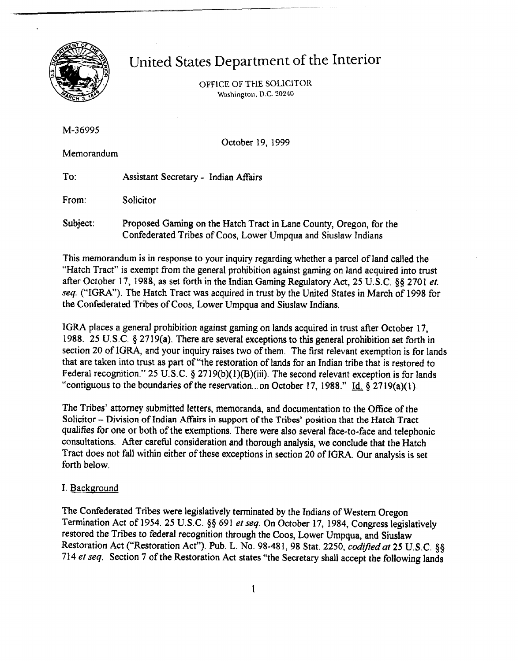

# United States Department of the Interior

OFFICE OF THE SOLlClTOR **Washington. D.C. 20240** 

**M-36995** 

October 19, 1999

Memorandum

To: Assistant Secretary - Indian Affairs

From: Solicitor

Subject: Proposed **Gaming** on the Hatch Tract in Lane County, Oregon, for the Confederated Tribes of Coos, Lower Umpqua and Siuslaw Indians

This memorandum is in response to your inquiry regarding whether a parcel of land called the "Hatch Tract" is exempt from the general prohibition against gaming on land acquired into trust after October 17, 1988, as set forth in the Indian Gaming Regulatory Act, **25** U.S.C. **\$9** 2701 *et.*  seq. ("IGRA"). The Hatch Tract was acquired in trust by the United States in March of 1998 for the Confederated Tribes of Coos, Lower Umpqua and Siuslaw Indians.

IGRA places a general prohibition against gaming on lands acquired in trust after October 17, 1988. **25** U.S.C. *5* 2719(a). There are several exceptions to this general prohibition set forth in section **20** of IGRA, and your inquiry raises two of them. The first relevant exemption is for lands that are taken into trust as part of "the restoration of lands for an Indian tribe that is restored to Federal recognition." 25 U.S.C. § 2719(b)(1)(B)(iii). The second relevant exception is for lands "contiguous to the boundaries of the reservation ... on October **17,** 1988." Id. **9** 2719(a)(l).

The Tribes' attorney submitted letters, memoranda, and documentation to the Office of the Solicitor - Division of **Indian mairs in support of** the **Tribes'** position that the Hatch Tract qualifies for one or both of the exemptions. There were also several face-to-face and telephonic consultations. After careful consideration and thorough analysis, we conclude that the Hatch Tract does not fall within either of these exceptions in section 20 of IGRA. Our analysis is set forth below.

# I. Background

The Confederated Tribes were legislatively terminated by the Indians of Western Oregon Termination Act of 1954. 25 U.S.C. **\$9** 691 et seq. On October 17, 1984, Congress legislatively restored the Tribes to federal recognition through the Coos, Lower Urnpqua, and Siuslaw Restoration Act ("Restoration Act"). Pub. L. No. 98-481, 98 Stat. 2250, *codified at 25 U.S.C.* §§ 714 **el** seq. Section 7 of the Restoration **Act** states "the Secretary shall accept the following lands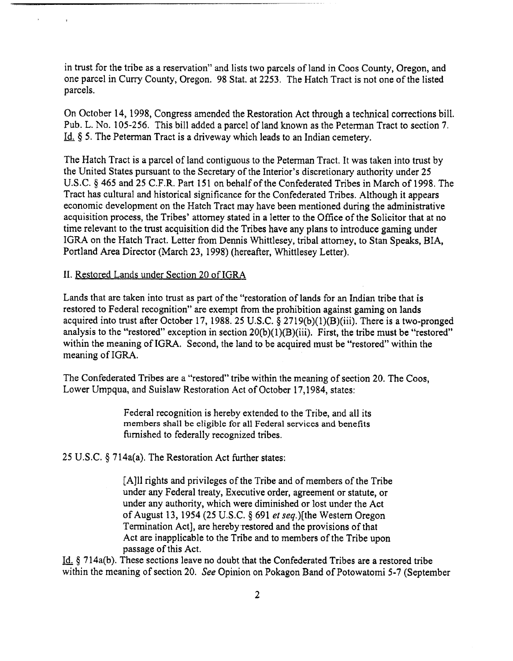in trust for the tribe as a reservation" and lists two parcels of land in Coos County, Oregon, and one parcel in Curry County, Oregon. 98 Stat. at 2253. The Hatch Tract is not one of the listed parcels.

On October 14, 1998, Congress amended the Restoration Act through a technical corrections bill. Pub. L. No. 105-256. This bill added a parcel of land known as the Peterman Tract to section 7. Id. 8 5. The Peterman Tract is a driveway which leads to an Indian cemetery.

The Hatch Tract is a parcel of land contiguous to the Peterman Tract. It was taken into trust by the United States pursuant to the Secretary of the Interior's discretionary authority under 25 U.S.C. *5* 465 and 25 C.F.R. Part 151 on behalf of the Confederated Tribes in March of 1998. The Tract has cultural and historical significance for the Confederated Tribes. Although it appears economic development on the Hatch Tract may have been mentioned during the administrative acquisition process, the Tribes' attorney stated in a letter to the Office of the Solicitor that at no time relevant to the trust acquisition did the Tribes have any plans to introduce gaming under IGRA on the Hatch Tract. Letter from Dennis Whittlesey, tribal attorney, to Stan Speaks, BIA, Portland **Area** Director (March **23,** 1998) (hereafter, Whittlesey Letter).

#### **11.** Restored Lands under Section 20 of IGRA

Lands that are taken into trust as part of the "restoration of lands for an Indian tribe that is restored to Federal recognition" are exempt from the prohibition against gaming on lands acquired into trust after October 17, 1988. 25 U.S.C. **5** 2719(b)(l)(B)(iii). There is a two-pronged analysis to the "restored" exception in section 20(b)(1)(B)(iii). First, the tribe must be "restored" within the meaning of IGRA. Second, the land to be acquired must be "restored" within the meaning of IGRA.

The Confederated Tribes are a "restored" tribe within the meaning of section 20. The Coos, Lower Umpqua, and Suislaw Restoration Act of October 17,1984, states:

> Federal recognition is hereby extended to the Tribe, and all its members shall be eligible for all Federal services **and** benefits furnished to federally recognized tribes.

25 U.S.C.  $\S$  714a(a). The Restoration Act further states:

[A111 rights and privileges of the Tribe and of members of the Tribe under any Federal treaty, Executive order, agreement or statute, or under any authority, which were diminished or lost under the Act of August 13, 1954 (25 U.S.C.  $\frac{601}{100}$  et seq.) [the Western Oregon] Termination Act], are hereby restored and the provisions of that Act are inapplicable to the Tribe and to members of the Tribe upon passage of this Act.

- Id. **7** 14a(b). These sections leave no doubt that the Confederated Tribes are a restored tribe within the meaning of section 20. See Opinion on Pokagon Band of Potowatomi 5-7 (September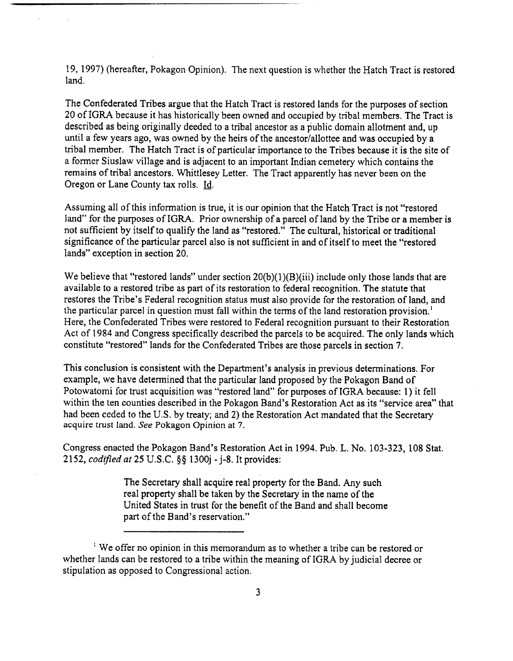19, 1997) (hereafter, Pokagon Opinion). The next question is whether the Hatch Tract is restored land.

The Confederated Tribes argue that the Hatch Tract is restored lands for the purposes of section 20 of IGRA because it has historically been owned and occupied by tribal members. The Tract is described as being originally deeded to a tribal ancestor as a public domain allotment and, up until a few years ago, was owned by the heirs of the ancestor/allottee and was occupied by a tribal member. The Hatch Tract is of particular importance to the Tribes because it is the site of a former Siuslaw village and is adjacent to an important Indian cemetery which contains the remains of tribal ancestors. Whittlesey Letter. The Tract apparently has never been on the Oregon or Lane County tax rolls. Id.

Assuming all of this information is true, it is our opinion that the Hatch Tract is not "restored land" for the purposes of IGRA. Prior ownership of a parcel of land by the Tribe or a member is not sufficient by itself to qualify the land as "restored." The cultural, historical or traditional significance of the particular parcel also is not sufficient in and of itself to meet the "restored lands" exception in section 20.

We believe that "restored lands" under section  $20(b)(1)(B)(iii)$  include only those lands that are available to a restored tribe as part of its restoration to federal recognition. The statute that restores the Tribe's Federal recognition status must also provide for the restoration of land, and the particular parcel in question must fall within the terms of the land restoration provision.' Here, the Confederated Tribes were restored to Federal recognition pursuant to their Restoration Act of 1984 and Congress specifically described the parcels to be acquired. The only lands which constitute "restored" lands for the Confederated Tribes are those parcels in section **7.** 

This conclusion is consistent with the Department's analysis in previous determinations. For example, we have determined that the particular land proposed by the Pokagon Band of Potowatomi for trust acquisition was "restored land" for purposes of IGRA because: 1) it fell within the ten counties described in the Pokagon Band's Restoration Act as its "service area" that had been ceded to the U.S. by treaty; and **2)** the Restoration Act mandated that the Secretary acquire trust **land.** *See* Pokagon Opinion at 7.

Congress enacted the Pokagon Band's Restoration Act in 1994. Pub. L. No. 103-323, 108 Stat. 2152, *codzfzed* at 25 **U.S.C. \$8** 1300j - j-8. It provides:

> The Secretary shall acquire real property for the Band. Any such real property shall be taken by the Secretary in the name of the United States in trust for the benefit of the Band and shall become part of the Band's reservation."

' We offer no opinion in this memorandum as to whether a tribe can be restored or whether lands can be restored to a tribe within the meaning of IGRA by judicial decree or stipulation as opposed to Congressional action.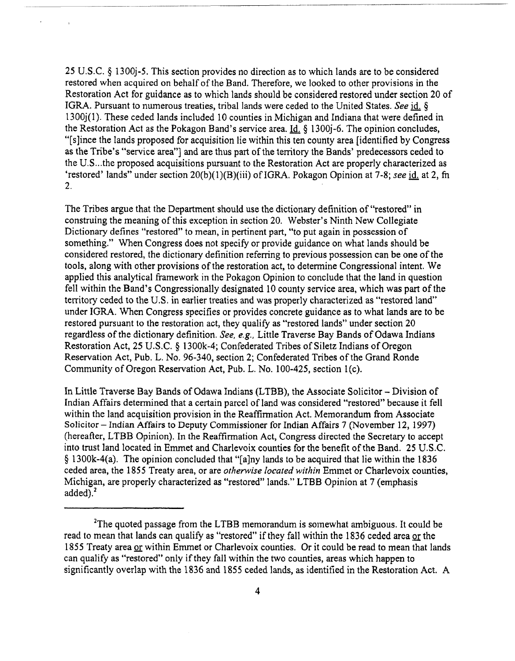25 U.S.C. \$ 1300j-5. This section provides no direction as to which lands are to be considered restored when acquired on behalf of the Band. Therefore, we looked to other provisions in the Restoration Act for guidance as to which lands should be considered restored under section 20 of IGRA. Pursuant to numerous treaties, tribal lands were ceded to the United States. *See* **id.** § 1300j(l). These ceded lands included 10 counties in Michigan and Indiana that were defined in the Restoration Act as the Pokagon Band's service area.  $Id. \S$  1300 $i$ -6. The opinion concludes, "[slince the lands proposed for acquisition lie within this ten county area [identified by Congress as the Tribe's "service area"] and are thus part of the temtory the Bands' predecessors ceded to the U.S ... the proposed acquisitions pursuant to the Restoration Act are properly characterized as 'restored' lands" under section 20(b)(l)(B)(iii) of IGRA. Pokagon Opinion at 7-8; see **id.** at **2, fn**  2.

The Tribes argue that the Department should use the dictionary definition of "restored" in construing the meaning of this exception in section 20. Webster's Ninth New Collegiate Dictionary defines "restored" to mean, in pertinent part, "to put again in possession of something." When Congress does not specify or provide guidance on what lands should be considered restored, the dictionary definition referring to previous possession can be one of the tools, along with other provisions of the restoration act, to determine Congressional intent. We applied this analytical framework in the Pokagon Opinion to conclude that the land in question fell within the Band's Congressionally designated 10 county service area, which was **part** of the territory ceded to the **U.S.** in earlier treaties and was properly characterized as "restored land" under IGRA. When Congress specifies or provides concrete guidance as to what lands are to be restored pursuant to the restoration act, they qualify as "restored lands" under section 20 regardless of the dictionary definition. *See, e.g.,* Little Traverse Bay Bands of Odawa Indians Restoration Act, 25 U.S.C. \$ 1300k-4; Confederated Tribes of Siletz Indians of Oregon Reservation Act, Pub. L. No. 96-340, section 2; Confederated Tribes of the Grand Ronde Community of Oregon Reservation Act, Pub. L. No. 100-425, section l(c).

In Little Traverse Bay Bands of Odawa Indians (LTBB), the Associate Solicitor - Division of Indian Affairs determined that a certain parcel of land was considered "restored" because it fell within the land acquisition provision in the Reaffirmation Act. Memorandum from Associate Solicitor - Indian Affairs to Deputy Commissioner for Indian Affairs 7 (November 12, 1997) (hereafter, LTBB Opinion). In the Reaffirmation Act, Congress directed the Secretary to accept into tmst land located in Emrnet and Charlevoix counties for the benefit of the Band. 25 U.S.C.  $\S$  1300k-4(a). The opinion concluded that "[a]ny lands to be acquired that lie within the 1836 ceded area, the 1855 Treaty area, or are *otherwise located within* Eminet or Charlevoix counties, Michigan, are properly characterized as "restored" lands." LTBB Opinion at **7** (emphasis added).<sup>2</sup>

<sup>&</sup>lt;sup>2</sup>The quoted passage from the LTBB memorandum is somewhat ambiguous. It could be read to mean that lands can qualify as "restored" if they fall within the 1836 ceded area or the 1855 Treaty area or within Emmet or Charlevoix counties. Or it could be read to mean that lands can qualify as "restored" only if they fall within the two counties, areas which happen to significantly overlap with the 1836 and 1855 ceded lands, as identified in the Restoration Act. A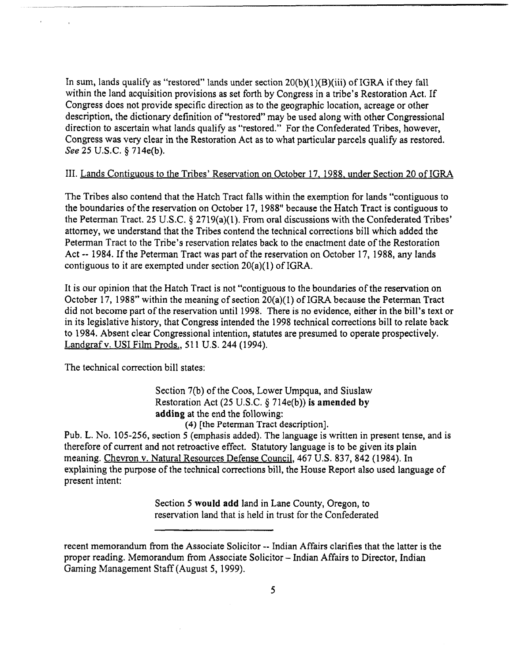In sum, lands qualify as "restored" lands under section  $20(b)(1)(B)(iii)$  of IGRA if they fall within the land acquisition provisions as set forth by Congress in a tribe's Restoration Act. If Congress does not provide specific direction as to the geographic location, acreage or other description, the dictionary definition of "restored" may be used along with other Congressional direction to ascertain what lands qualify as "restored." For the Confederated Tribes, however, Congress was very clear in the Restoration Act as to what particular parcels qualify as restored. See 25 U.S.C. § 714e(b).

## III. Lands Contiguous to the Tribes' Reservation on October 17, 1988, under Section 20 of IGRA

The Tribes also contend that the Hatch Tract falls within the exemption for lands "contiguous to the boundaries of the reservation on October 17, 1988" because the Hatch Tract is contiguous to the Peterman Tract. 25 U.S.C. **4** 2719(a)(l). From oral discussions with the Confederated Tribes' attorney, we understand that the Tribes contend the technical conections bill which added the Peterman Tract to the Tribe's reservation relates back to the enactment date of the Restoration Act -- 1984. If the Peterman Tract was part of the reservation on October 17, 1988, any lands contiguous to it are exempted under section 20(a)(l) of IGRA.

It is our opinion that the Hatch Tract is not "contiguous to the boundaries of the reservation on October 17, 1988" within the meaning of section 20(a)(l) of IGRA because the Peterman Tract did not become part of the reservation until 1998. There is no evidence, either in the bill's text or in its legislative history, that Congress intended the 1998 technical corrections bill to relate back to 1984. Absent clear Congressional intention, statutes are presumed to operate prospectively. Landgraf v. USI Film Prods., 511 U.S. 244 (1994).

The technical correction bill states:

Section 7(b) of the Coos, Lower Umpqua, and Siuslaw Restoration Act (25 U.S.C. 714e(b)) **is amended** by **adding** at the end the following:

(4) [the Peterman Tract description].

Pub. L. No. 105-256, section 5 (emphasis added). The language is written in present tense, and is therefore of current and not retroactive effect. Statutory language is to be given its plain meaning. Chevron v. Natural Resources Defense Council, 467 U.S. 837, 842 (1984). In explaining the purpose of the technical conections bill, the House Report also used language of present intent:

> Section 5 **would add** land in Lane County, Oregon, to reservation land that is held in trust for the Confederated

recent memorandum from the Associate Solicitor -- Indian Affairs clarifies that the latter is the proper reading. Memorandum from Associate Solicitor - Indian Affairs to Director, Indian Gaming Management Staff (August 5, 1999).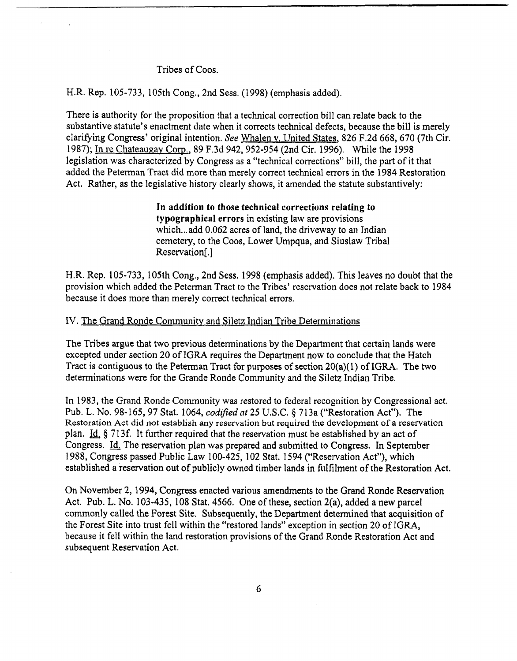## Tribes of Coos.

#### H.R. Rep. 105-733, 105th Cong., 2nd Sess. (1998) (emphasis added).

There is authority for the proposition that a technical correction bill **can** relate back to the substantive statute's enactment date when it corrects technical defects, because the bill is merely clarifying Congress' original intention. *See* Whalen v. United States, 826 F.2d 668, 670 (7th Cir. 1987); In re Chateaugav Corp., 89 F.3d 942,952-954 (2nd Cir. 1996). While the 1998 legislation was characterized by Congress as a "technical corrections" bill, the part of it that added the Peterman Tract did more than merely correct technical errors in the 1984 Restoration Act. Rather, as the legislative history clearly shows, it amended the statute substantively:

> **In addition to those technical corrections relating to typographical errors** in existing law are provisions which... add 0.062 acres of land, the driveway to an Indian cemetery, to the Coos, Lower Umpqua, and Siuslaw Tribal Reservation[.]

H.R. Rep. 105-733, 105th Cong., 2nd Sess. 1998 (emphasis added). This leaves no doubt that the provision which added the Peterrnan Tract to the Tribes' reservation does not relate back to 1984 because it does more than merely correct technical errors.

## IV. The Grand Ronde Community and Siletz Indian Tribe Determinations

The Tribes argue that two previous determinations by the Department that certain lands were excepted under section 20 of IGRA requires the Department now to conclude that the Hatch Tract is contiguous to the Peterman Tract for purposes of section 20(a)(l) of IGRA. The two determinations were for the Grande Ronde Community and the Siletz Indian Tribe.

In 1983, the Grand Ronde Community was restored to federal recognition by Congressional act. Pub. L. No. 98-165,97 Stat. 1064, **codijied** nt 25 U.S.C. **4** 713a ("Restoration Act"). The Restoration Act did **not** establish any reservation but required the development of a reservation plan. Id.  $\S$  713f. It further required that the reservation must be established by an act of Congress. Id. The reservation plan was prepared and submitted to Congress. In September 1988, Congress passed Public Law 100-425, 102 Stat. 1594 ("Reservation Act"), which established a reservation out of publicly owned timber lands in fulfilment of the Restoration Act.

On November 2,1994, Congress enacted various amendments to the Grand Ronde Reservation Act. **Pub.** L. No. 103-435, 108 Stat. 4566. One of these, section 2(a), added a new parcel commonly called the Forest Site. Subsequently, the Department determined that acquisition of the Forest Site into trust fell within the "restored lands" exception in section 20 of IGRA, because it fell within the land restoration provisions of the Grand Ronde Restoration Act and subsequent Reservation Act.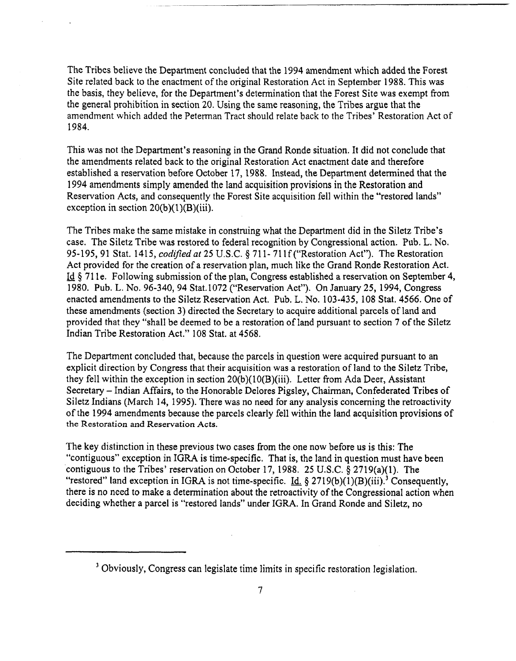The Tribes believe the Department concluded that the 1994 amendment which added the Forest Site related back to the enactment of the original Restoration Act in September 1988. This was the basis, they believe, for the Department's determination that the Forest Site was exempt from the general prohibition in section 20. Using the same reasoning, the Tribes argue that the amendment which added the Peterman Tract should relate back to the Tribes' Restoration Act of 1984.

This was not the Department's reasoning in the Grand Ronde situation. It did not conclude that the amendments related back to the original Restoration Act enactment date and therefore established a reservation before October 17, 1988. Instead, the Department determined that the 1994 amendments simply amended the land acquisition provisions in the Restoration and Reservation Acts, and consequently the Forest Site acquisition fell within the "restored lands" exception in section  $20(b)(1)(B)(iii)$ .

The Tribes make the same mistake in construing what the Department did in the Siletz Tribe's case. The Siletz Tribe **was** restored to federal recognition by Congressional action. Pub. L. No. 95-195,91 Stat. 1415, *codzfied* at 25 U.S.C. § 71 1- 71 If ("Restoration Act"). The Restoration Act provided for the creation of a reservation plan, much like the Grand Ronde Restoration Act. - Id \$ 71 1 e. Following submission of the plan, Congress established a reservation on September 4, 1980. Pub. L. No. 96-340, 94 Stat. 1072 ("Reservation Act"). On January 25, 1994, Congress enacted amendments to the Siletz Reservation Act. Pub. L. No. 103-435, 108 Stat. 4566. One of these amendments (section **3)** directed the Secretary to acquire additional parcels of land and provided that they "shall be deemed to be a restoration of land pursuant to section **7** of the Siletz Indian Tribe Restoration Act." 108 Stat. at 4568.

The Department concluded that, because the parcels in question were acquired pursuant to an explicit direction by Congress that their acquisition was a restoration of land to the Siletz Tribe, they fell within the exception in section 20(b)(lO(B)(iii). Letter from Ada Deer, Assistant Secretary - Indian Affairs, to the Honorable Delores Pigsley, Chairman, Confederated Tribes of Siletz Indians (March 14, 1995). There was no need for any analysis concerning the retroactivity of the 1994 amendments because the parcels clearly fell within the land acquisition provisions of **the Restoration and Reservation Acts.** 

The key distinction in these previous two cases from the one now before us is this: The "contiguous" exception in IGRA is time-specific. That is, the land in question must have been contiguous to the Tribes' reservation on October 17, 1988. 25 U.S.C. § 2719(a)(l). The "restored" land exception in IGRA is not time-specific.  $\underline{Id}$ ,  $\S$  2719(b)(1)(B)(iii).<sup>3</sup> Consequently, there is no need to make a determination about the retroactivity of the CongressionaI action when deciding whether a parcel is "restored lands" under IGRA. In Grand Ronde and Siletz, no

-- - -

**<sup>3</sup>**Obviously, Congress can legislate time limits in specific restoration legislation.